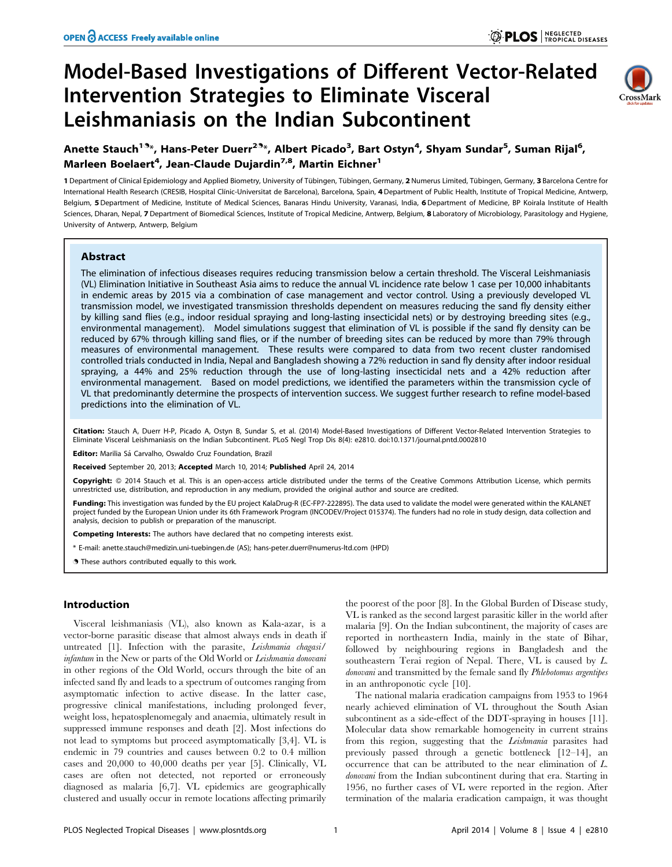# Model-Based Investigations of Different Vector-Related Intervention Strategies to Eliminate Visceral Leishmaniasis on the Indian Subcontinent



# Anette Stauch<sup>19</sup>\*, Hans-Peter Duerr<sup>29</sup>\*, Albert Picado<sup>3</sup>, Bart Ostyn<sup>4</sup>, Shyam Sundar<sup>5</sup>, Suman Rijal<sup>6</sup>, Marleen Boelaert<sup>4</sup>, Jean-Claude Dujardin<sup>7,8</sup>, Martin Eichner<sup>1</sup>

1 Department of Clinical Epidemiology and Applied Biometry, University of Tübingen, Tübingen, Germany, 2 Numerus Limited, Tübingen, Germany, 3 Barcelona Centre for International Health Research (CRESIB, Hospital Clínic-Universitat de Barcelona), Barcelona, Spain, 4 Department of Public Health, Institute of Tropical Medicine, Antwerp, Belgium, 5 Department of Medicine, Institute of Medical Sciences, Banaras Hindu University, Varanasi, India, 6 Department of Medicine, BP Koirala Institute of Health Sciences, Dharan, Nepal, 7 Department of Biomedical Sciences, Institute of Tropical Medicine, Antwerp, Belgium, 8 Laboratory of Microbiology, Parasitology and Hygiene, University of Antwerp, Antwerp, Belgium

### Abstract

The elimination of infectious diseases requires reducing transmission below a certain threshold. The Visceral Leishmaniasis (VL) Elimination Initiative in Southeast Asia aims to reduce the annual VL incidence rate below 1 case per 10,000 inhabitants in endemic areas by 2015 via a combination of case management and vector control. Using a previously developed VL transmission model, we investigated transmission thresholds dependent on measures reducing the sand fly density either by killing sand flies (e.g., indoor residual spraying and long-lasting insecticidal nets) or by destroying breeding sites (e.g., environmental management). Model simulations suggest that elimination of VL is possible if the sand fly density can be reduced by 67% through killing sand flies, or if the number of breeding sites can be reduced by more than 79% through measures of environmental management. These results were compared to data from two recent cluster randomised controlled trials conducted in India, Nepal and Bangladesh showing a 72% reduction in sand fly density after indoor residual spraying, a 44% and 25% reduction through the use of long-lasting insecticidal nets and a 42% reduction after environmental management. Based on model predictions, we identified the parameters within the transmission cycle of VL that predominantly determine the prospects of intervention success. We suggest further research to refine model-based predictions into the elimination of VL.

Citation: Stauch A, Duerr H-P, Picado A, Ostyn B, Sundar S, et al. (2014) Model-Based Investigations of Different Vector-Related Intervention Strategies to Eliminate Visceral Leishmaniasis on the Indian Subcontinent. PLoS Negl Trop Dis 8(4): e2810. doi:10.1371/journal.pntd.0002810

Editor: Marilia Sá Carvalho, Oswaldo Cruz Foundation, Brazil

Received September 20, 2013; Accepted March 10, 2014; Published April 24, 2014

Copyright: © 2014 Stauch et al. This is an open-access article distributed under the terms of the [Creative Commons Attribution License](http://creativecommons.org/licenses/by/4.0/), which permits unrestricted use, distribution, and reproduction in any medium, provided the original author and source are credited.

Funding: This investigation was funded by the EU project KalaDrug-R (EC-FP7-222895). The data used to validate the model were generated within the KALANET project funded by the European Union under its 6th Framework Program (INCODEV/Project 015374). The funders had no role in study design, data collection and analysis, decision to publish or preparation of the manuscript.

Competing Interests: The authors have declared that no competing interests exist.

\* E-mail: anette.stauch@medizin.uni-tuebingen.de (AS); hans-peter.duerr@numerus-ltd.com (HPD)

. These authors contributed equally to this work.

## Introduction

Visceral leishmaniasis (VL), also known as Kala-azar, is a vector-borne parasitic disease that almost always ends in death if untreated [1]. Infection with the parasite, Leishmania chagasi/ infantum in the New or parts of the Old World or Leishmania donovani in other regions of the Old World, occurs through the bite of an infected sand fly and leads to a spectrum of outcomes ranging from asymptomatic infection to active disease. In the latter case, progressive clinical manifestations, including prolonged fever, weight loss, hepatosplenomegaly and anaemia, ultimately result in suppressed immune responses and death [2]. Most infections do not lead to symptoms but proceed asymptomatically [3,4]. VL is endemic in 79 countries and causes between 0.2 to 0.4 million cases and 20,000 to 40,000 deaths per year [5]. Clinically, VL cases are often not detected, not reported or erroneously diagnosed as malaria [6,7]. VL epidemics are geographically clustered and usually occur in remote locations affecting primarily

the poorest of the poor [8]. In the Global Burden of Disease study, VL is ranked as the second largest parasitic killer in the world after malaria [9]. On the Indian subcontinent, the majority of cases are reported in northeastern India, mainly in the state of Bihar, followed by neighbouring regions in Bangladesh and the southeastern Terai region of Nepal. There, VL is caused by L. donovani and transmitted by the female sand fly Phlebotomus argentipes in an anthroponotic cycle [10].

The national malaria eradication campaigns from 1953 to 1964 nearly achieved elimination of VL throughout the South Asian subcontinent as a side-effect of the DDT-spraying in houses [11]. Molecular data show remarkable homogeneity in current strains from this region, suggesting that the Leishmania parasites had previously passed through a genetic bottleneck [12–14], an occurrence that can be attributed to the near elimination of L. donovani from the Indian subcontinent during that era. Starting in 1956, no further cases of VL were reported in the region. After termination of the malaria eradication campaign, it was thought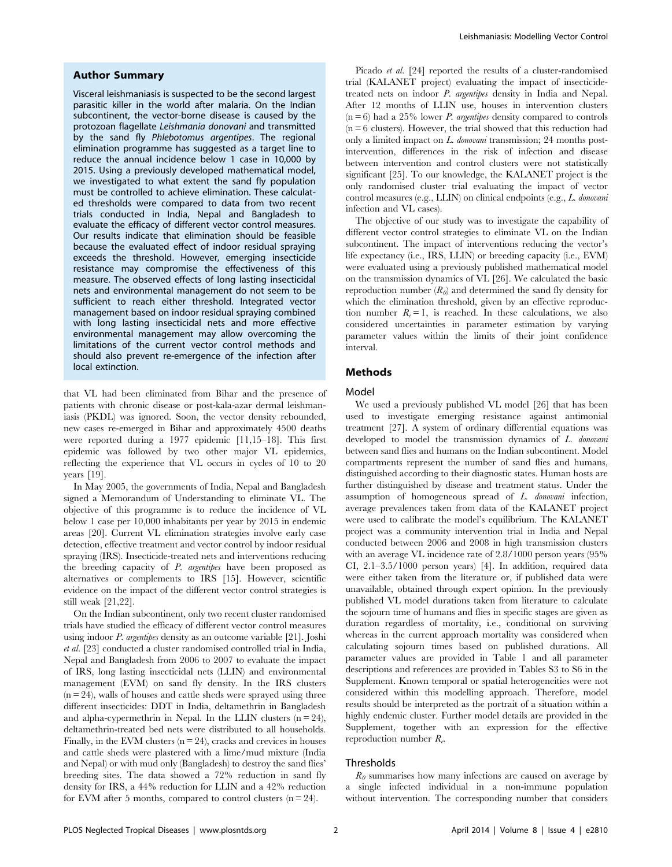#### Author Summary

Visceral leishmaniasis is suspected to be the second largest parasitic killer in the world after malaria. On the Indian subcontinent, the vector-borne disease is caused by the protozoan flagellate Leishmania donovani and transmitted by the sand fly Phlebotomus argentipes. The regional elimination programme has suggested as a target line to reduce the annual incidence below 1 case in 10,000 by 2015. Using a previously developed mathematical model, we investigated to what extent the sand fly population must be controlled to achieve elimination. These calculated thresholds were compared to data from two recent trials conducted in India, Nepal and Bangladesh to evaluate the efficacy of different vector control measures. Our results indicate that elimination should be feasible because the evaluated effect of indoor residual spraying exceeds the threshold. However, emerging insecticide resistance may compromise the effectiveness of this measure. The observed effects of long lasting insecticidal nets and environmental management do not seem to be sufficient to reach either threshold. Integrated vector management based on indoor residual spraying combined with long lasting insecticidal nets and more effective environmental management may allow overcoming the limitations of the current vector control methods and should also prevent re-emergence of the infection after local extinction.

that VL had been eliminated from Bihar and the presence of patients with chronic disease or post-kala-azar dermal leishmaniasis (PKDL) was ignored. Soon, the vector density rebounded, new cases re-emerged in Bihar and approximately 4500 deaths were reported during a 1977 epidemic [11,15–18]. This first epidemic was followed by two other major VL epidemics, reflecting the experience that VL occurs in cycles of 10 to 20 years [19].

In May 2005, the governments of India, Nepal and Bangladesh signed a Memorandum of Understanding to eliminate VL. The objective of this programme is to reduce the incidence of VL below 1 case per 10,000 inhabitants per year by 2015 in endemic areas [20]. Current VL elimination strategies involve early case detection, effective treatment and vector control by indoor residual spraying (IRS). Insecticide-treated nets and interventions reducing the breeding capacity of P. argentipes have been proposed as alternatives or complements to IRS [15]. However, scientific evidence on the impact of the different vector control strategies is still weak [21,22].

On the Indian subcontinent, only two recent cluster randomised trials have studied the efficacy of different vector control measures using indoor P. argentipes density as an outcome variable [21]. Joshi et al. [23] conducted a cluster randomised controlled trial in India, Nepal and Bangladesh from 2006 to 2007 to evaluate the impact of IRS, long lasting insecticidal nets (LLIN) and environmental management (EVM) on sand fly density. In the IRS clusters  $(n = 24)$ , walls of houses and cattle sheds were sprayed using three different insecticides: DDT in India, deltamethrin in Bangladesh and alpha-cypermethrin in Nepal. In the LLIN clusters  $(n = 24)$ , deltamethrin-treated bed nets were distributed to all households. Finally, in the EVM clusters  $(n = 24)$ , cracks and crevices in houses and cattle sheds were plastered with a lime/mud mixture (India and Nepal) or with mud only (Bangladesh) to destroy the sand flies' breeding sites. The data showed a 72% reduction in sand fly density for IRS, a 44% reduction for LLIN and a 42% reduction for EVM after 5 months, compared to control clusters  $(n = 24)$ .

Picado et al. [24] reported the results of a cluster-randomised trial (KALANET project) evaluating the impact of insecticidetreated nets on indoor P. argentipes density in India and Nepal. After 12 months of LLIN use, houses in intervention clusters  $(n=6)$  had a 25% lower *P. argentipes* density compared to controls  $(n = 6$  clusters). However, the trial showed that this reduction had only a limited impact on L. donovani transmission; 24 months postintervention, differences in the risk of infection and disease between intervention and control clusters were not statistically significant [25]. To our knowledge, the KALANET project is the only randomised cluster trial evaluating the impact of vector control measures (e.g., LLIN) on clinical endpoints (e.g., L. donovani infection and VL cases).

The objective of our study was to investigate the capability of different vector control strategies to eliminate VL on the Indian subcontinent. The impact of interventions reducing the vector's life expectancy (i.e., IRS, LLIN) or breeding capacity (i.e., EVM) were evaluated using a previously published mathematical model on the transmission dynamics of VL [26]. We calculated the basic reproduction number  $(R_0)$  and determined the sand fly density for which the elimination threshold, given by an effective reproduction number  $R_e = 1$ , is reached. In these calculations, we also considered uncertainties in parameter estimation by varying parameter values within the limits of their joint confidence interval.

#### Methods

#### Model

We used a previously published VL model [26] that has been used to investigate emerging resistance against antimonial treatment [27]. A system of ordinary differential equations was developed to model the transmission dynamics of L. donovani between sand flies and humans on the Indian subcontinent. Model compartments represent the number of sand flies and humans, distinguished according to their diagnostic states. Human hosts are further distinguished by disease and treatment status. Under the assumption of homogeneous spread of L. donovani infection, average prevalences taken from data of the KALANET project were used to calibrate the model's equilibrium. The KALANET project was a community intervention trial in India and Nepal conducted between 2006 and 2008 in high transmission clusters with an average VL incidence rate of 2.8/1000 person years (95% CI, 2.1–3.5/1000 person years) [4]. In addition, required data were either taken from the literature or, if published data were unavailable, obtained through expert opinion. In the previously published VL model durations taken from literature to calculate the sojourn time of humans and flies in specific stages are given as duration regardless of mortality, i.e., conditional on surviving whereas in the current approach mortality was considered when calculating sojourn times based on published durations. All parameter values are provided in Table 1 and all parameter descriptions and references are provided in Tables S3 to S6 in the Supplement. Known temporal or spatial heterogeneities were not considered within this modelling approach. Therefore, model results should be interpreted as the portrait of a situation within a highly endemic cluster. Further model details are provided in the Supplement, together with an expression for the effective reproduction number  $R_e$ .

#### **Thresholds**

 $R_0$  summarises how many infections are caused on average by a single infected individual in a non-immune population without intervention. The corresponding number that considers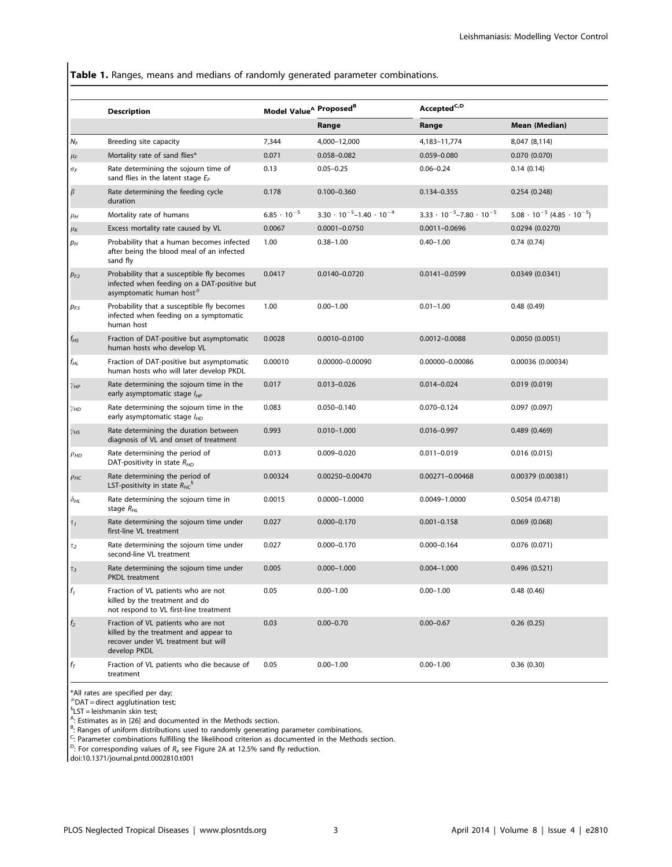Table 1. Ranges, means and medians of randomly generated parameter combinations.

|                           | <b>Description</b>                                                                                                                  | Model Value <sup>A</sup> Proposed <sup>B</sup> |                                           | Accepted <sup>C,D</sup>                   |                                              |
|---------------------------|-------------------------------------------------------------------------------------------------------------------------------------|------------------------------------------------|-------------------------------------------|-------------------------------------------|----------------------------------------------|
|                           |                                                                                                                                     |                                                | Range                                     | Range                                     | Mean (Median)                                |
| $N_F$                     | Breeding site capacity                                                                                                              | 7,344                                          | 4,000-12,000                              | 4,183-11,774                              | 8,047 (8,114)                                |
| $\mu_F$                   | Mortality rate of sand flies*                                                                                                       | 0.071                                          | 0.058-0.082                               | 0.059-0.080                               | 0.070(0.070)                                 |
| $\sigma_F$                | Rate determining the sojourn time of<br>sand flies in the latent stage $E_F$                                                        | 0.13                                           | $0.05 - 0.25$                             | $0.06 - 0.24$                             | 0.14(0.14)                                   |
| $\beta$                   | Rate determining the feeding cycle<br>duration                                                                                      | 0.178                                          | $0.100 - 0.360$                           | 0.134-0.355                               | 0.254(0.248)                                 |
| $\mu_H$                   | Mortality rate of humans                                                                                                            | $6.85 \cdot 10^{-5}$                           | $3.30 \cdot 10^{-5} - 1.40 \cdot 10^{-4}$ | $3.33 \cdot 10^{-5} - 7.80 \cdot 10^{-5}$ | $5.08 \cdot 10^{-5}$ (4.85 $\cdot 10^{-5}$ ) |
| $\mu_K$                   | Excess mortality rate caused by VL                                                                                                  | 0.0067                                         | $0.0001 - 0.0750$                         | $0.0011 - 0.0696$                         | 0.0294(0.0270)                               |
| $p_H$                     | Probability that a human becomes infected<br>after being the blood meal of an infected<br>sand fly                                  | 1.00                                           | $0.38 - 1.00$                             | $0.40 - 1.00$                             | 0.74(0.74)                                   |
| $p_{F2}$                  | Probability that a susceptible fly becomes<br>infected when feeding on a DAT-positive but<br>asymptomatic human host#               | 0.0417                                         | 0.0140-0.0720                             | 0.0141-0.0599                             | 0.0349(0.0341)                               |
| $p_{F3}$                  | Probability that a susceptible fly becomes<br>infected when feeding on a symptomatic<br>human host                                  | 1.00                                           | $0.00 - 1.00$                             | $0.01 - 1.00$                             | 0.48(0.49)                                   |
| t <sub>НS</sub>           | Fraction of DAT-positive but asymptomatic<br>human hosts who develop VL                                                             | 0.0028                                         | 0.0010-0.0100                             | 0.0012-0.0088                             | 0.0050(0.0051)                               |
| $t_{HL}$                  | Fraction of DAT-positive but asymptomatic<br>human hosts who will later develop PKDL                                                | 0.00010                                        | 0.00000-0.00090                           | 0.00000-0.00086                           | 0.00036 (0.00034)                            |
| $\gamma_{HP}$             | Rate determining the sojourn time in the<br>early asymptomatic stage $I_{HP}$                                                       | 0.017                                          | $0.013 - 0.026$                           | $0.014 - 0.024$                           | 0.019(0.019)                                 |
| $\gamma$ HD               | Rate determining the sojourn time in the<br>early asymptomatic stage $I_{HD}$                                                       | 0.083                                          | $0.050 - 0.140$                           | $0.070 - 0.124$                           | 0.097(0.097)                                 |
| $\gamma_{HS}$             | Rate determining the duration between<br>diagnosis of VL and onset of treatment                                                     | 0.993                                          | $0.010 - 1.000$                           | $0.016 - 0.997$                           | 0.489(0.469)                                 |
| Рно                       | Rate determining the period of<br>DAT-positivity in state $R_{HD}$                                                                  | 0.013                                          | $0.009 - 0.020$                           | $0.011 - 0.019$                           | 0.016(0.015)                                 |
| $\rho$ нс                 | Rate determining the period of<br>LST-positivity in state $R_{HC}^{\quad 8}$                                                        | 0.00324                                        | 0.00250-0.00470                           | 0.00271-0.00468                           | 0.00379 (0.00381)                            |
| $\delta_{\mathsf{HL}}$    | Rate determining the sojourn time in<br>stage $R_{HL}$                                                                              | 0.0015                                         | 0.0000-1.0000                             | 0.0049-1.0000                             | 0.5054(0.4718)                               |
| $\tau_{1}$                | Rate determining the sojourn time under<br>first-line VL treatment                                                                  | 0.027                                          | $0.000 - 0.170$                           | $0.001 - 0.158$                           | 0.069(0.068)                                 |
| τ2                        | Rate determining the sojourn time under<br>second-line VL treatment                                                                 | 0.027                                          | $0.000 - 0.170$                           | $0.000 - 0.164$                           | 0.076(0.071)                                 |
| $\tau_3$                  | Rate determining the sojourn time under<br><b>PKDL</b> treatment                                                                    | 0.005                                          | $0.000 - 1.000$                           | $0.004 - 1.000$                           | 0.496(0.521)                                 |
| $f_1$                     | Fraction of VL patients who are not<br>killed by the treatment and do<br>not respond to VL first-line treatment                     | 0.05                                           | $0.00 - 1.00$                             | $0.00 - 1.00$                             | 0.48(0.46)                                   |
| $f_2^{\phantom{\dagger}}$ | Fraction of VL patients who are not<br>killed by the treatment and appear to<br>recover under VL treatment but will<br>develop PKDL | 0.03                                           | $0.00 - 0.70$                             | $0.00 - 0.67$                             | 0.26(0.25)                                   |
| $f_T$                     | Fraction of VL patients who die because of<br>treatment                                                                             | 0.05                                           | $0.00 - 1.00$                             | $0.00 - 1.00$                             | 0.36(0.30)                                   |

\*All rates are specified per day;

#DAT = direct agglutination test; 1 LST = leishmanin skin test; A : Estimates as in [26] and documented in the Methods section.

<sup>B</sup>: Ranges of uniform distributions used to randomly generating parameter combinations.<br><sup>C</sup>: Parameter combinations fulfilling the likelihood criterion as documented in the Methods section.<br><sup>D</sup>: For corresponding values

doi:10.1371/journal.pntd.0002810.t001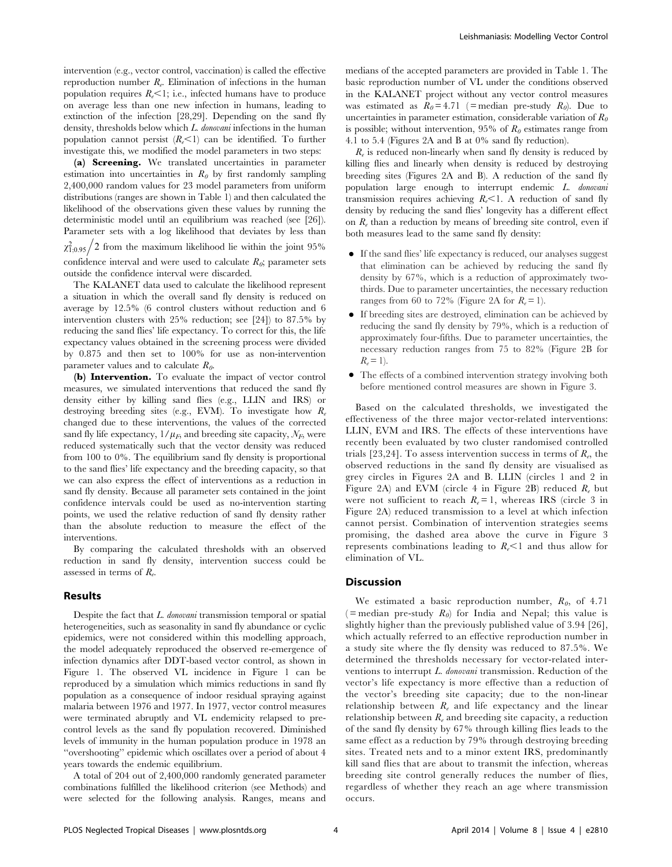intervention (e.g., vector control, vaccination) is called the effective reproduction number  $R_e$ . Elimination of infections in the human population requires  $R_{e}$ <1; i.e., infected humans have to produce on average less than one new infection in humans, leading to extinction of the infection [28,29]. Depending on the sand fly density, thresholds below which L. donovani infections in the human population cannot persist  $(R_{\epsilon} < 1)$  can be identified. To further investigate this, we modified the model parameters in two steps:

(a) Screening. We translated uncertainties in parameter estimation into uncertainties in  $R_0$  by first randomly sampling 2,400,000 random values for 23 model parameters from uniform distributions (ranges are shown in Table 1) and then calculated the likelihood of the observations given these values by running the deterministic model until an equilibrium was reached (see [26]). Parameter sets with a log likelihood that deviates by less than  $\chi_{1,0.95}^2/2$  from the maximum likelihood lie within the joint 95% confidence interval and were used to calculate  $R_0$ ; parameter sets outside the confidence interval were discarded.

The KALANET data used to calculate the likelihood represent a situation in which the overall sand fly density is reduced on average by 12.5% (6 control clusters without reduction and 6 intervention clusters with 25% reduction; see [24]) to 87.5% by reducing the sand flies' life expectancy. To correct for this, the life expectancy values obtained in the screening process were divided by 0.875 and then set to 100% for use as non-intervention parameter values and to calculate  $R_0$ .

(b) Intervention. To evaluate the impact of vector control measures, we simulated interventions that reduced the sand fly density either by killing sand flies (e.g., LLIN and IRS) or destroying breeding sites (e.g., EVM). To investigate how  $R_e$ changed due to these interventions, the values of the corrected sand fly life expectancy,  $1/\mu_F$ , and breeding site capacity,  $N_F$ , were reduced systematically such that the vector density was reduced from 100 to 0%. The equilibrium sand fly density is proportional to the sand flies' life expectancy and the breeding capacity, so that we can also express the effect of interventions as a reduction in sand fly density. Because all parameter sets contained in the joint confidence intervals could be used as no-intervention starting points, we used the relative reduction of sand fly density rather than the absolute reduction to measure the effect of the interventions.

By comparing the calculated thresholds with an observed reduction in sand fly density, intervention success could be assessed in terms of  $R_e$ .

#### Results

Despite the fact that L. donovani transmission temporal or spatial heterogeneities, such as seasonality in sand fly abundance or cyclic epidemics, were not considered within this modelling approach, the model adequately reproduced the observed re-emergence of infection dynamics after DDT-based vector control, as shown in Figure 1. The observed VL incidence in Figure 1 can be reproduced by a simulation which mimics reductions in sand fly population as a consequence of indoor residual spraying against malaria between 1976 and 1977. In 1977, vector control measures were terminated abruptly and VL endemicity relapsed to precontrol levels as the sand fly population recovered. Diminished levels of immunity in the human population produce in 1978 an ''overshooting'' epidemic which oscillates over a period of about 4 years towards the endemic equilibrium.

A total of 204 out of 2,400,000 randomly generated parameter combinations fulfilled the likelihood criterion (see Methods) and were selected for the following analysis. Ranges, means and medians of the accepted parameters are provided in Table 1. The basic reproduction number of VL under the conditions observed in the KALANET project without any vector control measures was estimated as  $R_0 = 4.71$  (= median pre-study  $R_0$ ). Due to uncertainties in parameter estimation, considerable variation of  $R_0$ is possible; without intervention, 95% of  $R_0$  estimates range from 4.1 to 5.4 (Figures 2A and B at 0% sand fly reduction).

 $R_{e}$  is reduced non-linearly when sand fly density is reduced by killing flies and linearly when density is reduced by destroying breeding sites (Figures 2A and B). A reduction of the sand fly population large enough to interrupt endemic L. donovani transmission requires achieving  $R_{\epsilon}$ <1. A reduction of sand fly density by reducing the sand flies' longevity has a different effect on  $R_e$  than a reduction by means of breeding site control, even if both measures lead to the same sand fly density:

- $\bullet$  If the sand flies' life expectancy is reduced, our analyses suggest that elimination can be achieved by reducing the sand fly density by 67%, which is a reduction of approximately twothirds. Due to parameter uncertainties, the necessary reduction ranges from 60 to 72% (Figure 2A for  $R_e = 1$ ).
- N If breeding sites are destroyed, elimination can be achieved by reducing the sand fly density by 79%, which is a reduction of approximately four-fifths. Due to parameter uncertainties, the necessary reduction ranges from 75 to 82% (Figure 2B for  $R_e = 1$ ).
- The effects of a combined intervention strategy involving both before mentioned control measures are shown in Figure 3.

Based on the calculated thresholds, we investigated the effectiveness of the three major vector-related interventions: LLIN, EVM and IRS. The effects of these interventions have recently been evaluated by two cluster randomised controlled trials [23,24]. To assess intervention success in terms of  $R_e$ , the observed reductions in the sand fly density are visualised as grey circles in Figures 2A and B. LLIN (circles 1 and 2 in Figure 2A) and EVM (circle 4 in Figure 2B) reduced  $R_e$  but were not sufficient to reach  $R<sub>e</sub> = 1$ , whereas IRS (circle 3 in Figure 2A) reduced transmission to a level at which infection cannot persist. Combination of intervention strategies seems promising, the dashed area above the curve in Figure 3 represents combinations leading to  $R_{\epsilon}$ <1 and thus allow for elimination of VL.

#### **Discussion**

We estimated a basic reproduction number,  $R_0$ , of 4.71 (= median pre-study  $R_0$ ) for India and Nepal; this value is slightly higher than the previously published value of 3.94 [26], which actually referred to an effective reproduction number in a study site where the fly density was reduced to 87.5%. We determined the thresholds necessary for vector-related interventions to interrupt L. donovani transmission. Reduction of the vector's life expectancy is more effective than a reduction of the vector's breeding site capacity; due to the non-linear relationship between  $R_e$  and life expectancy and the linear relationship between  $R_e$  and breeding site capacity, a reduction of the sand fly density by 67% through killing flies leads to the same effect as a reduction by 79% through destroying breeding sites. Treated nets and to a minor extent IRS, predominantly kill sand flies that are about to transmit the infection, whereas breeding site control generally reduces the number of flies, regardless of whether they reach an age where transmission occurs.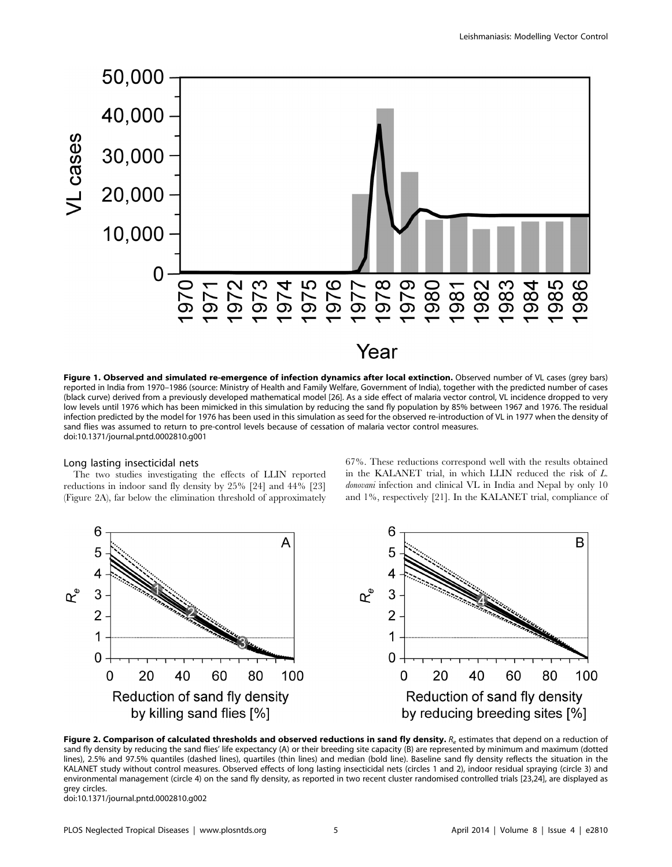

Figure 1. Observed and simulated re-emergence of infection dynamics after local extinction. Observed number of VL cases (grey bars) reported in India from 1970–1986 (source: Ministry of Health and Family Welfare, Government of India), together with the predicted number of cases (black curve) derived from a previously developed mathematical model [26]. As a side effect of malaria vector control, VL incidence dropped to very low levels until 1976 which has been mimicked in this simulation by reducing the sand fly population by 85% between 1967 and 1976. The residual infection predicted by the model for 1976 has been used in this simulation as seed for the observed re-introduction of VL in 1977 when the density of sand flies was assumed to return to pre-control levels because of cessation of malaria vector control measures. doi:10.1371/journal.pntd.0002810.g001

#### Long lasting insecticidal nets

The two studies investigating the effects of LLIN reported reductions in indoor sand fly density by 25% [24] and 44% [23] (Figure 2A), far below the elimination threshold of approximately

67%. These reductions correspond well with the results obtained in the KALANET trial, in which LLIN reduced the risk of L. donovani infection and clinical VL in India and Nepal by only 10 and 1%, respectively [21]. In the KALANET trial, compliance of



Figure 2. Comparison of calculated thresholds and observed reductions in sand fly density.  $R_e$  estimates that depend on a reduction of sand fly density by reducing the sand flies' life expectancy (A) or their breeding site capacity (B) are represented by minimum and maximum (dotted lines), 2.5% and 97.5% quantiles (dashed lines), quartiles (thin lines) and median (bold line). Baseline sand fly density reflects the situation in the KALANET study without control measures. Observed effects of long lasting insecticidal nets (circles 1 and 2), indoor residual spraying (circle 3) and environmental management (circle 4) on the sand fly density, as reported in two recent cluster randomised controlled trials [23,24], are displayed as grey circles.

doi:10.1371/journal.pntd.0002810.g002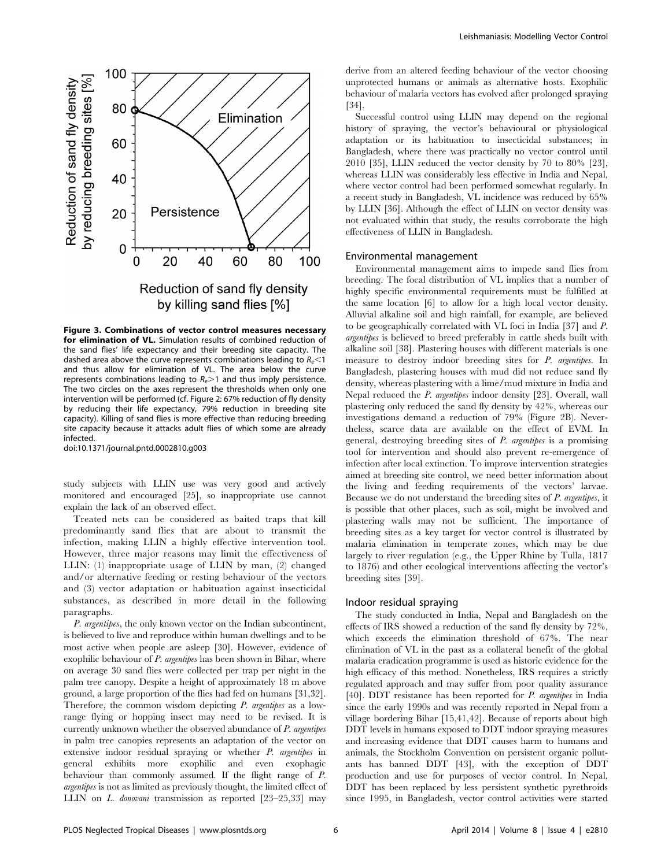

Figure 3. Combinations of vector control measures necessary for elimination of VL. Simulation results of combined reduction of the sand flies' life expectancy and their breeding site capacity. The dashed area above the curve represents combinations leading to  $R_{e}$  < 1 and thus allow for elimination of VL. The area below the curve represents combinations leading to  $R_e > 1$  and thus imply persistence. The two circles on the axes represent the thresholds when only one intervention will be performed (cf. Figure 2: 67% reduction of fly density by reducing their life expectancy, 79% reduction in breeding site capacity). Killing of sand flies is more effective than reducing breeding site capacity because it attacks adult flies of which some are already infected.

doi:10.1371/journal.pntd.0002810.g003

study subjects with LLIN use was very good and actively monitored and encouraged [25], so inappropriate use cannot explain the lack of an observed effect.

Treated nets can be considered as baited traps that kill predominantly sand flies that are about to transmit the infection, making LLIN a highly effective intervention tool. However, three major reasons may limit the effectiveness of LLIN: (1) inappropriate usage of LLIN by man, (2) changed and/or alternative feeding or resting behaviour of the vectors and (3) vector adaptation or habituation against insecticidal substances, as described in more detail in the following paragraphs.

P. argentipes, the only known vector on the Indian subcontinent, is believed to live and reproduce within human dwellings and to be most active when people are asleep [30]. However, evidence of exophilic behaviour of P. argentipes has been shown in Bihar, where on average 30 sand flies were collected per trap per night in the palm tree canopy. Despite a height of approximately 18 m above ground, a large proportion of the flies had fed on humans [31,32]. Therefore, the common wisdom depicting P. argentipes as a lowrange flying or hopping insect may need to be revised. It is currently unknown whether the observed abundance of P. argentipes in palm tree canopies represents an adaptation of the vector on extensive indoor residual spraying or whether P. argentipes in general exhibits more exophilic and even exophagic behaviour than commonly assumed. If the flight range of P. argentipes is not as limited as previously thought, the limited effect of LLIN on L. donovani transmission as reported [23–25,33] may derive from an altered feeding behaviour of the vector choosing unprotected humans or animals as alternative hosts. Exophilic behaviour of malaria vectors has evolved after prolonged spraying [34].

Successful control using LLIN may depend on the regional history of spraying, the vector's behavioural or physiological adaptation or its habituation to insecticidal substances; in Bangladesh, where there was practically no vector control until 2010 [35], LLIN reduced the vector density by 70 to 80% [23], whereas LLIN was considerably less effective in India and Nepal, where vector control had been performed somewhat regularly. In a recent study in Bangladesh, VL incidence was reduced by 65% by LLIN [36]. Although the effect of LLIN on vector density was not evaluated within that study, the results corroborate the high effectiveness of LLIN in Bangladesh.

#### Environmental management

Environmental management aims to impede sand flies from breeding. The focal distribution of VL implies that a number of highly specific environmental requirements must be fulfilled at the same location [6] to allow for a high local vector density. Alluvial alkaline soil and high rainfall, for example, are believed to be geographically correlated with VL foci in India [37] and P. argentipes is believed to breed preferably in cattle sheds built with alkaline soil [38]. Plastering houses with different materials is one measure to destroy indoor breeding sites for P. argentipes. In Bangladesh, plastering houses with mud did not reduce sand fly density, whereas plastering with a lime/mud mixture in India and Nepal reduced the P. argentipes indoor density [23]. Overall, wall plastering only reduced the sand fly density by 42%, whereas our investigations demand a reduction of 79% (Figure 2B). Nevertheless, scarce data are available on the effect of EVM. In general, destroying breeding sites of P. argentipes is a promising tool for intervention and should also prevent re-emergence of infection after local extinction. To improve intervention strategies aimed at breeding site control, we need better information about the living and feeding requirements of the vectors' larvae. Because we do not understand the breeding sites of P. argentipes, it is possible that other places, such as soil, might be involved and plastering walls may not be sufficient. The importance of breeding sites as a key target for vector control is illustrated by malaria elimination in temperate zones, which may be due largely to river regulation (e.g., the Upper Rhine by Tulla, 1817 to 1876) and other ecological interventions affecting the vector's breeding sites [39].

#### Indoor residual spraying

The study conducted in India, Nepal and Bangladesh on the effects of IRS showed a reduction of the sand fly density by 72%, which exceeds the elimination threshold of 67%. The near elimination of VL in the past as a collateral benefit of the global malaria eradication programme is used as historic evidence for the high efficacy of this method. Nonetheless, IRS requires a strictly regulated approach and may suffer from poor quality assurance [40]. DDT resistance has been reported for P. argentipes in India since the early 1990s and was recently reported in Nepal from a village bordering Bihar [15,41,42]. Because of reports about high DDT levels in humans exposed to DDT indoor spraying measures and increasing evidence that DDT causes harm to humans and animals, the Stockholm Convention on persistent organic pollutants has banned DDT [43], with the exception of DDT production and use for purposes of vector control. In Nepal, DDT has been replaced by less persistent synthetic pyrethroids since 1995, in Bangladesh, vector control activities were started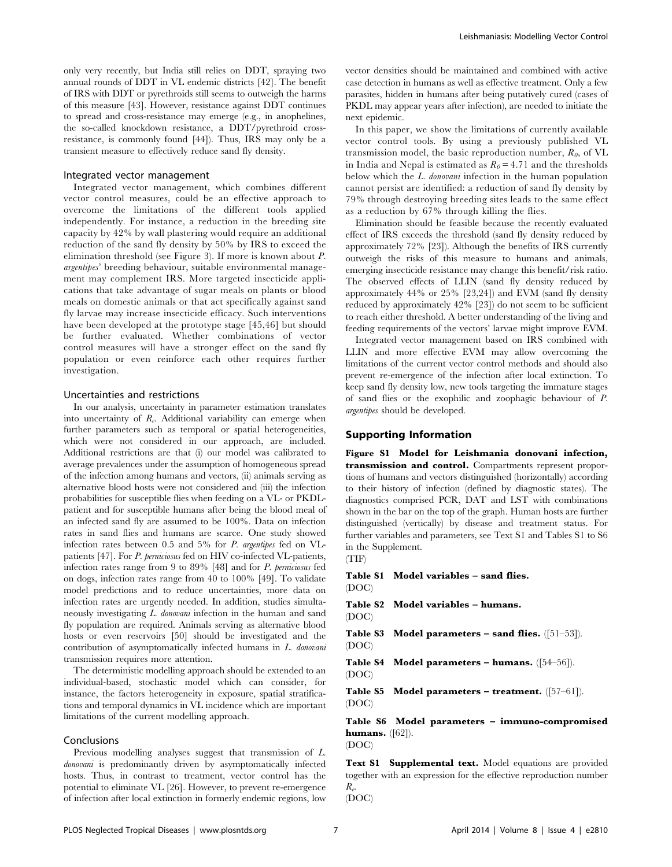only very recently, but India still relies on DDT, spraying two annual rounds of DDT in VL endemic districts [42]. The benefit of IRS with DDT or pyrethroids still seems to outweigh the harms of this measure [43]. However, resistance against DDT continues to spread and cross-resistance may emerge (e.g., in anophelines, the so-called knockdown resistance, a DDT/pyrethroid crossresistance, is commonly found [44]). Thus, IRS may only be a transient measure to effectively reduce sand fly density.

#### Integrated vector management

Integrated vector management, which combines different vector control measures, could be an effective approach to overcome the limitations of the different tools applied independently. For instance, a reduction in the breeding site capacity by 42% by wall plastering would require an additional reduction of the sand fly density by 50% by IRS to exceed the elimination threshold (see Figure 3). If more is known about P. argentipes' breeding behaviour, suitable environmental management may complement IRS. More targeted insecticide applications that take advantage of sugar meals on plants or blood meals on domestic animals or that act specifically against sand fly larvae may increase insecticide efficacy. Such interventions have been developed at the prototype stage [45,46] but should be further evaluated. Whether combinations of vector control measures will have a stronger effect on the sand fly population or even reinforce each other requires further investigation.

#### Uncertainties and restrictions

In our analysis, uncertainty in parameter estimation translates into uncertainty of  $R_e$ . Additional variability can emerge when further parameters such as temporal or spatial heterogeneities, which were not considered in our approach, are included. Additional restrictions are that (i) our model was calibrated to average prevalences under the assumption of homogeneous spread of the infection among humans and vectors, (ii) animals serving as alternative blood hosts were not considered and (iii) the infection probabilities for susceptible flies when feeding on a VL- or PKDLpatient and for susceptible humans after being the blood meal of an infected sand fly are assumed to be 100%. Data on infection rates in sand flies and humans are scarce. One study showed infection rates between 0.5 and 5% for P. argentipes fed on VLpatients [47]. For P. perniciosus fed on HIV co-infected VL-patients, infection rates range from 9 to 89% [48] and for P. perniciosus fed on dogs, infection rates range from 40 to 100% [49]. To validate model predictions and to reduce uncertainties, more data on infection rates are urgently needed. In addition, studies simultaneously investigating L. donovani infection in the human and sand fly population are required. Animals serving as alternative blood hosts or even reservoirs [50] should be investigated and the contribution of asymptomatically infected humans in L. donovani transmission requires more attention.

The deterministic modelling approach should be extended to an individual-based, stochastic model which can consider, for instance, the factors heterogeneity in exposure, spatial stratifications and temporal dynamics in VL incidence which are important limitations of the current modelling approach.

#### Conclusions

Previous modelling analyses suggest that transmission of L. donovani is predominantly driven by asymptomatically infected hosts. Thus, in contrast to treatment, vector control has the potential to eliminate VL [26]. However, to prevent re-emergence of infection after local extinction in formerly endemic regions, low vector densities should be maintained and combined with active case detection in humans as well as effective treatment. Only a few parasites, hidden in humans after being putatively cured (cases of PKDL may appear years after infection), are needed to initiate the next epidemic.

In this paper, we show the limitations of currently available vector control tools. By using a previously published VL transmission model, the basic reproduction number,  $R_0$ , of VL in India and Nepal is estimated as  $R_0 = 4.71$  and the thresholds below which the L. *donovani* infection in the human population cannot persist are identified: a reduction of sand fly density by 79% through destroying breeding sites leads to the same effect as a reduction by 67% through killing the flies.

Elimination should be feasible because the recently evaluated effect of IRS exceeds the threshold (sand fly density reduced by approximately 72% [23]). Although the benefits of IRS currently outweigh the risks of this measure to humans and animals, emerging insecticide resistance may change this benefit/risk ratio. The observed effects of LLIN (sand fly density reduced by approximately 44% or 25% [23,24]) and EVM (sand fly density reduced by approximately 42% [23]) do not seem to be sufficient to reach either threshold. A better understanding of the living and feeding requirements of the vectors' larvae might improve EVM.

Integrated vector management based on IRS combined with LLIN and more effective EVM may allow overcoming the limitations of the current vector control methods and should also prevent re-emergence of the infection after local extinction. To keep sand fly density low, new tools targeting the immature stages of sand flies or the exophilic and zoophagic behaviour of P. argentipes should be developed.

#### Supporting Information

Figure S1 Model for Leishmania donovani infection, transmission and control. Compartments represent proportions of humans and vectors distinguished (horizontally) according to their history of infection (defined by diagnostic states). The diagnostics comprised PCR, DAT and LST with combinations shown in the bar on the top of the graph. Human hosts are further distinguished (vertically) by disease and treatment status. For further variables and parameters, see Text S1 and Tables S1 to S6 in the Supplement.

(TIF)

#### Table S1 Model variables – sand flies.

(DOC)

Table S2 Model variables – humans. (DOC)

Table S3 Model parameters – sand flies. ([51–53]). (DOC)

Table S4 Model parameters – humans. ([54–56]). (DOC)

Table S5 Model parameters – treatment. ([57–61]). (DOC)

Table S6 Model parameters – immuno-compromised **humans.** ([62]). (DOC)

Text S1 Supplemental text. Model equations are provided together with an expression for the effective reproduction number  $R_e$ .

(DOC)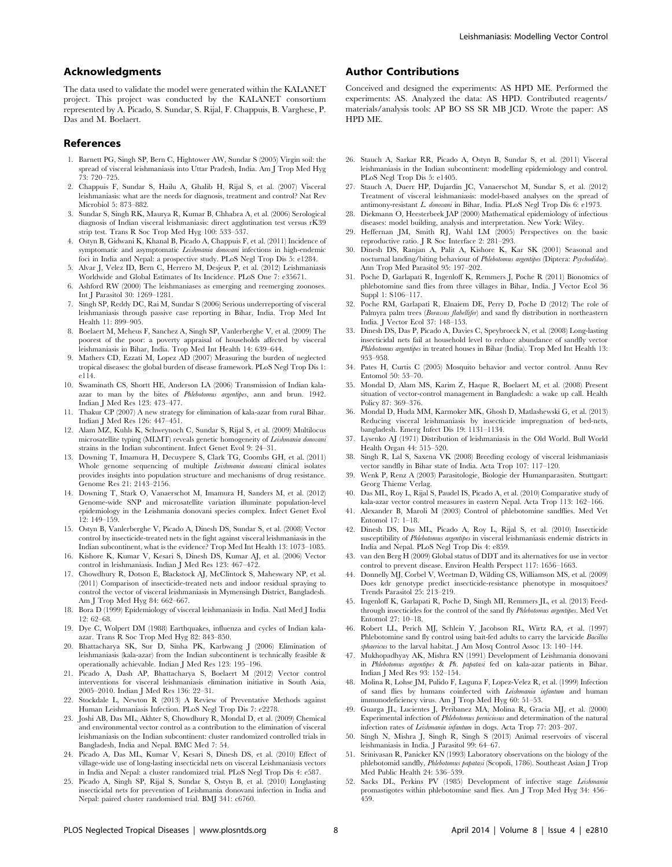#### Acknowledgments

The data used to validate the model were generated within the KALANET project. This project was conducted by the KALANET consortium represented by A. Picado, S. Sundar, S. Rijal, F. Chappuis, B. Varghese, P. Das and M. Boelaert.

#### References

- 1. Barnett PG, Singh SP, Bern C, Hightower AW, Sundar S (2005) Virgin soil: the spread of visceral leishmaniasis into Uttar Pradesh, India. Am J Trop Med Hyg 73: 720–725.
- 2. Chappuis F, Sundar S, Hailu A, Ghalib H, Rijal S, et al. (2007) Visceral leishmaniasis: what are the needs for diagnosis, treatment and control? Nat Rev Microbiol 5: 873–882.
- 3. Sundar S, Singh RK, Maurya R, Kumar B, Chhabra A, et al. (2006) Serological diagnosis of Indian visceral leishmaniasis: direct agglutination test versus rK39 strip test. Trans R Soc Trop Med Hyg 100: 533–537.
- 4. Ostyn B, Gidwani K, Khanal B, Picado A, Chappuis F, et al. (2011) Incidence of symptomatic and asymptomatic Leishmania donovani infections in high-endemic foci in India and Nepal: a prospective study. PLoS Negl Trop Dis 5: e1284.
- 5. Alvar J, Velez ID, Bern C, Herrero M, Desjeux P, et al. (2012) Leishmaniasis Worldwide and Global Estimates of Its Incidence. PLoS One 7: e35671.
- 6. Ashford RW (2000) The leishmaniases as emerging and reemerging zoonoses. Int J Parasitol 30: 1269–1281.
- 7. Singh SP, Reddy DC, Rai M, Sundar S (2006) Serious underreporting of visceral leishmaniasis through passive case reporting in Bihar, India. Trop Med Int Health 11: 899–905.
- 8. Boelaert M, Meheus F, Sanchez A, Singh SP, Vanlerberghe V, et al. (2009) The poorest of the poor: a poverty appraisal of households affected by visceral leishmaniasis in Bihar, India. Trop Med Int Health 14: 639–644.
- Mathers CD, Ezzati M, Lopez AD (2007) Measuring the burden of neglected tropical diseases: the global burden of disease framework. PLoS Negl Trop Dis 1: e114.
- 10. Swaminath CS, Shortt HE, Anderson LA (2006) Transmission of Indian kalaazar to man by the bites of Phlebotomus argentipes, ann and brun. 1942. Indian J Med Res 123: 473–477.
- 11. Thakur CP (2007) A new strategy for elimination of kala-azar from rural Bihar. Indian J Med Res 126: 447–451.
- 12. Alam MZ, Kuhls K, Schweynoch C, Sundar S, Rijal S, et al. (2009) Multilocus microsatellite typing (MLMT) reveals genetic homogeneity of Leishmania donovani strains in the Indian subcontinent. Infect Genet Evol 9: 24–31.
- 13. Downing T, Imamura H, Decuypere S, Clark TG, Coombs GH, et al. (2011) Whole genome sequencing of multiple Leishmania donovani clinical isolates provides insights into population structure and mechanisms of drug resistance. Genome Res 21: 2143–2156.
- 14. Downing T, Stark O, Vanaerschot M, Imamura H, Sanders M, et al. (2012) Genome-wide SNP and microsatellite variation illuminate population-level epidemiology in the Leishmania donovani species complex. Infect Genet Evol 12: 149–159.
- 15. Ostyn B, Vanlerberghe V, Picado A, Dinesh DS, Sundar S, et al. (2008) Vector control by insecticide-treated nets in the fight against visceral leishmaniasis in the Indian subcontinent, what is the evidence? Trop Med Int Health 13: 1073–1085.
- 16. Kishore K, Kumar V, Kesari S, Dinesh DS, Kumar AJ, et al. (2006) Vector control in leishmaniasis. Indian J Med Res 123: 467–472.
- 17. Chowdhury R, Dotson E, Blackstock AJ, McClintock S, Maheswary NP, et al. (2011) Comparison of insecticide-treated nets and indoor residual spraying to control the vector of visceral leishmaniasis in Mymensingh District, Bangladesh. Am J Trop Med Hyg 84: 662–667.
- 18. Bora D (1999) Epidemiology of visceral leishmaniasis in India. Natl Med J India 12: 62–68.
- 19. Dye C, Wolpert DM (1988) Earthquakes, influenza and cycles of Indian kalaazar. Trans R Soc Trop Med Hyg 82: 843–850.
- 20. Bhattacharya SK, Sur D, Sinha PK, Karbwang J (2006) Elimination of leishmaniasis (kala-azar) from the Indian subcontinent is technically feasible & operationally achievable. Indian J Med Res 123: 195–196.
- 21. Picado A, Dash AP, Bhattacharya S, Boelaert M (2012) Vector control interventions for visceral leishmaniasis elimination initiative in South Asia, 2005–2010. Indian J Med Res 136: 22–31.
- 22. Stockdale L, Newton R (2013) A Review of Preventative Methods against Human Leishmaniasis Infection. PLoS Negl Trop Dis 7: e2278.
- 23. Joshi AB, Das ML, Akhter S, Chowdhury R, Mondal D, et al. (2009) Chemical and environmental vector control as a contribution to the elimination of visceral leishmaniasis on the Indian subcontinent: cluster randomized controlled trials in Bangladesh, India and Nepal. BMC Med 7: 54.
- 24. Picado A, Das ML, Kumar V, Kesari S, Dinesh DS, et al. (2010) Effect of village-wide use of long-lasting insecticidal nets on visceral Leishmaniasis vectors in India and Nepal: a cluster randomized trial. PLoS Negl Trop Dis 4: e587.
- 25. Picado A, Singh SP, Rijal S, Sundar S, Ostyn B, et al. (2010) Longlasting insecticidal nets for prevention of Leishmania donovani infection in India and Nepal: paired cluster randomised trial. BMJ 341: c6760.

#### Author Contributions

Conceived and designed the experiments: AS HPD ME. Performed the experiments: AS. Analyzed the data: AS HPD. Contributed reagents/ materials/analysis tools: AP BO SS SR MB JCD. Wrote the paper: AS HPD ME.

- 26. Stauch A, Sarkar RR, Picado A, Ostyn B, Sundar S, et al. (2011) Visceral leishmaniasis in the Indian subcontinent: modelling epidemiology and control. PLoS Negl Trop Dis 5: e1405.
- 27. Stauch A, Duerr HP, Dujardin JC, Vanaerschot M, Sundar S, et al. (2012) Treatment of visceral leishmaniasis: model-based analyses on the spread of antimony-resistant L. donovani in Bihar, India. PLoS Negl Trop Dis 6: e1973.
- 28. Diekmann O, Heesterbeek JAP (2000) Mathematical epidemiology of infectious diseases: model building, analysis and interpretation. New York: Wiley.
- 29. Heffernan JM, Smith RJ, Wahl LM (2005) Perspectives on the basic reproductive ratio. J R Soc Interface 2: 281–293.
- 30. Dinesh DS, Ranjan A, Palit A, Kishore K, Kar SK (2001) Seasonal and nocturnal landing/biting behaviour of Phlebotomus argentipes (Diptera: Psychodidae). Ann Trop Med Parasitol 95: 197–202.
- 31. Poche D, Garlapati R, Ingenloff K, Remmers J, Poche R (2011) Bionomics of phlebotomine sand flies from three villages in Bihar, India. J Vector Ecol 36 Suppl 1: S106–117.
- 32. Poche RM, Garlapati R, Elnaiem DE, Perry D, Poche D (2012) The role of Palmyra palm trees (Borassus flabellifer) and sand fly distribution in northeastern India. J Vector Ecol 37: 148–153.
- 33. Dinesh DS, Das P, Picado A, Davies C, Speybroeck N, et al. (2008) Long-lasting insecticidal nets fail at household level to reduce abundance of sandfly vector Phlebotomus argentipes in treated houses in Bihar (India). Trop Med Int Health 13: 953–958.
- 34. Pates H, Curtis C (2005) Mosquito behavior and vector control. Annu Rev Entomol 50: 53–70.
- 35. Mondal D, Alam MS, Karim Z, Haque R, Boelaert M, et al. (2008) Present situation of vector-control management in Bangladesh: a wake up call. Health Policy 87: 369–376.
- 36. Mondal D, Huda MM, Karmoker MK, Ghosh D, Matlashewski G, et al. (2013) Reducing visceral leishmaniasis by insecticide impregnation of bed-nets, bangladesh. Emerg Infect Dis 19: 1131–1134.
- 37. Lysenko AJ (1971) Distribution of leishmaniasis in the Old World. Bull World Health Organ 44: 515–520.
- 38. Singh R, Lal S, Saxena VK (2008) Breeding ecology of visceral leishmaniasis vector sandfly in Bihar state of India. Acta Trop 107: 117–120.
- 39. Wenk P, Renz A (2003) Parasitologie, Biologie der Humanparasiten. Stuttgart: Georg Thieme Verlag.
- 40. Das ML, Roy L, Rijal S, Paudel IS, Picado A, et al. (2010) Comparative study of kala-azar vector control measures in eastern Nepal. Acta Trop 113: 162–166.
- 41. Alexander B, Maroli M (2003) Control of phlebotomine sandflies. Med Vet Entomol 17: 1–18.
- 42. Dinesh DS, Das ML, Picado A, Roy L, Rijal S, et al. (2010) Insecticide susceptibility of Phlebotomus argentipes in visceral leishmaniasis endemic districts in India and Nepal. PLoS Negl Trop Dis 4: e859.
- 43. van den Berg H (2009) Global status of DDT and its alternatives for use in vector control to prevent disease. Environ Health Perspect 117: 1656–1663.
- 44. Donnelly MJ, Corbel V, Weetman D, Wilding CS, Williamson MS, et al. (2009) Does kdr genotype predict insecticide-resistance phenotype in mosquitoes? Trends Parasitol 25: 213–219.
- 45. Ingenloff K, Garlapati R, Poche D, Singh MI, Remmers JL, et al. (2013) Feedthrough insecticides for the control of the sand fly Phlebotomus argentipes. Med Vet Entomol 27: 10–18.
- 46. Robert LL, Perich MJ, Schlein Y, Jacobson RL, Wirtz RA, et al. (1997) Phlebotomine sand fly control using bait-fed adults to carry the larvicide Bacillus phaericus to the larval habitat. J Am Mosq Control Assoc 13: 140-144.
- 47. Mukhopadhyay AK, Mishra RN (1991) Development of Leishmania donovani in Phlebotomus argentipes & Ph. papatasi fed on kala-azar patients in Bihar. Indian J Med Res 93: 152–154.
- 48. Molina R, Lohse JM, Pulido F, Laguna F, Lopez-Velez R, et al. (1999) Infection of sand flies by humans coinfected with Leishmania infantum and human immunodeficiency virus. Am J Trop Med Hyg 60: 51–53.
- 49. Guarga JL, Lucientes J, Peribanez MA, Molina R, Gracia MJ, et al. (2000) Experimental infection of Phlebotomus perniciosus and determination of the natural infection rates of Leishmania infantum in dogs. Acta Trop 77: 203–207.
- 50. Singh N, Mishra J, Singh R, Singh S (2013) Animal reservoirs of visceral leishmaniasis in India. J Parasitol 99: 64–67.
- 51. Srinivasan R, Panicker KN (1993) Laboratory observations on the biology of the phlebotomid sandfly, Phlebotomus papatasi (Scopoli, 1786). Southeast Asian J Trop Med Public Health 24: 536–539.
- 52. Sacks DL, Perkins PV (1985) Development of infective stage Leishmania promastigotes within phlebotomine sand flies. Am J Trop Med Hyg 34: 456– 459.